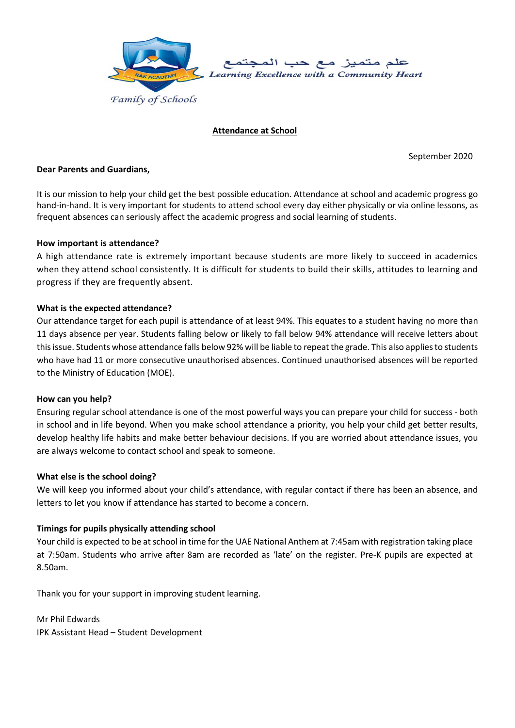

## **Attendance at School**

September 2020

#### **Dear Parents and Guardians,**

It is our mission to help your child get the best possible education. Attendance at school and academic progress go hand-in-hand. It is very important for students to attend school every day either physically or via online lessons, as frequent absences can seriously affect the academic progress and social learning of students.

#### **How important is attendance?**

A high attendance rate is extremely important because students are more likely to succeed in academics when they attend school consistently. It is difficult for students to build their skills, attitudes to learning and progress if they are frequently absent.

#### **What is the expected attendance?**

Our attendance target for each pupil is attendance of at least 94%. This equates to a student having no more than 11 days absence per year. Students falling below or likely to fall below 94% attendance will receive letters about thisissue. Students whose attendance falls below 92% will be liable to repeat the grade. This also applies to students who have had 11 or more consecutive unauthorised absences. Continued unauthorised absences will be reported to the Ministry of Education (MOE).

### **How can you help?**

Ensuring regular school attendance is one of the most powerful ways you can prepare your child for success - both in school and in life beyond. When you make school attendance a priority, you help your child get better results, develop healthy life habits and make better behaviour decisions. If you are worried about attendance issues, you are always welcome to contact school and speak to someone.

### **What else is the school doing?**

We will keep you informed about your child's attendance, with regular contact if there has been an absence, and letters to let you know if attendance has started to become a concern.

### **Timings for pupils physically attending school**

Your child is expected to be at school in time for the UAE National Anthem at 7:45am with registration taking place at 7:50am. Students who arrive after 8am are recorded as 'late' on the register. Pre-K pupils are expected at 8.50am.

Thank you for your support in improving student learning.

Mr Phil Edwards IPK Assistant Head – Student Development